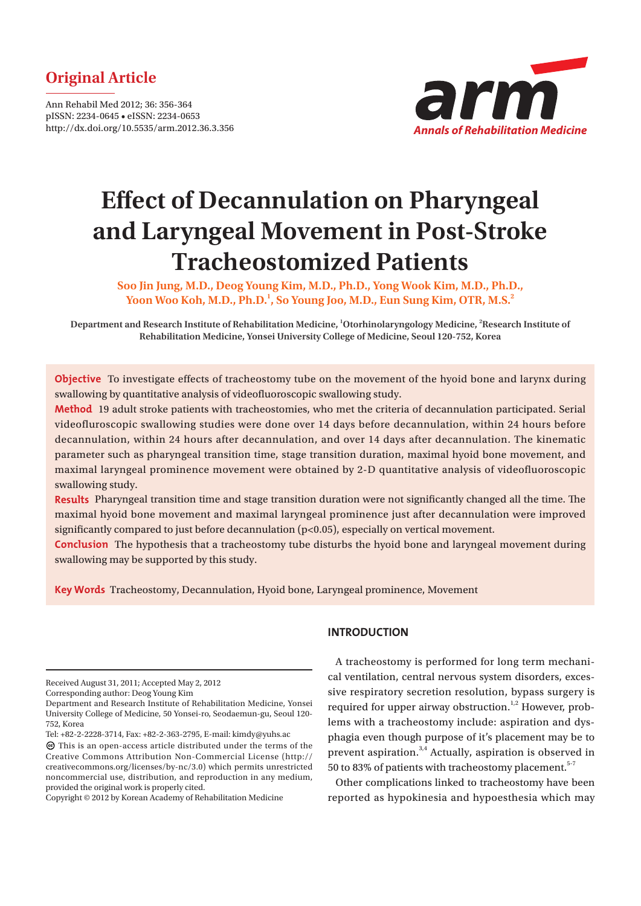# **Original Article**

Ann Rehabil Med 2012; 36: 356-364 pISSN: 2234-0645 • eISSN: 2234-0653 http://dx.doi.org/10.5535/arm.2012.36.3.356



# **Effect of Decannulation on Pharyngeal and Laryngeal Movement in Post-Stroke Tracheostomized Patients**

**Soo Jin Jung, M.D., Deog Young Kim, M.D., Ph.D., Yong Wook Kim, M.D., Ph.D., Yoon Woo Koh, M.D., Ph.D.1 , So Young Joo, M.D., Eun Sung Kim, OTR, M.S.2**

**Department and Research Institute of Rehabilitation Medicine, 1 Otorhinolaryngology Medicine, <sup>2</sup> Research Institute of Rehabilitation Medicine, Yonsei University College of Medicine, Seoul 120-752, Korea**

**Objective** To investigate effects of tracheostomy tube on the movement of the hyoid bone and larynx during swallowing by quantitative analysis of videofluoroscopic swallowing study.

**Method** 19 adult stroke patients with tracheostomies, who met the criteria of decannulation participated. Serial videofluroscopic swallowing studies were done over 14 days before decannulation, within 24 hours before decannulation, within 24 hours after decannulation, and over 14 days after decannulation. The kinematic parameter such as pharyngeal transition time, stage transition duration, maximal hyoid bone movement, and maximal laryngeal prominence movement were obtained by 2-D quantitative analysis of videofluoroscopic swallowing study.

Results Pharyngeal transition time and stage transition duration were not significantly changed all the time. The maximal hyoid bone movement and maximal laryngeal prominence just after decannulation were improved significantly compared to just before decannulation  $(p<0.05)$ , especially on vertical movement.

**Conclusion** The hypothesis that a tracheostomy tube disturbs the hyoid bone and laryngeal movement during swallowing may be supported by this study.

**Key Words** Tracheostomy, Decannulation, Hyoid bone, Laryngeal prominence, Movement

Received August 31, 2011; Accepted May 2, 2012

Corresponding author: Deog Young Kim

Tel: +82-2-2228-3714, Fax: +82-2-363-2795, E-mail: kimdy@yuhs.ac

# **INTRODUCTION**

A tracheostomy is performed for long term mechanical ventilation, central nervous system disorders, excessive respiratory secretion resolution, bypass surgery is required for upper airway obstruction.<sup>1,2</sup> However, problems with a tracheostomy include: aspiration and dysphagia even though purpose of it's placement may be to prevent aspiration.3,4 Actually, aspiration is observed in 50 to 83% of patients with tracheostomy placement. $5-7$ 

Other complications linked to tracheostomy have been reported as hypokinesia and hypoesthesia which may

Department and Research Institute of Rehabilitation Medicine, Yonsei University College of Medicine, 50 Yonsei-ro, Seodaemun-gu, Seoul 120- 752, Korea

This is an open-access article distributed under the terms of the Creative Commons Attribution Non-Commercial License (http:// creativecommons.org/licenses/by-nc/3.0) which permits unrestricted noncommercial use, distribution, and reproduction in any medium, provided the original work is properly cited.

Copyright © 2012 by Korean Academy of Rehabilitation Medicine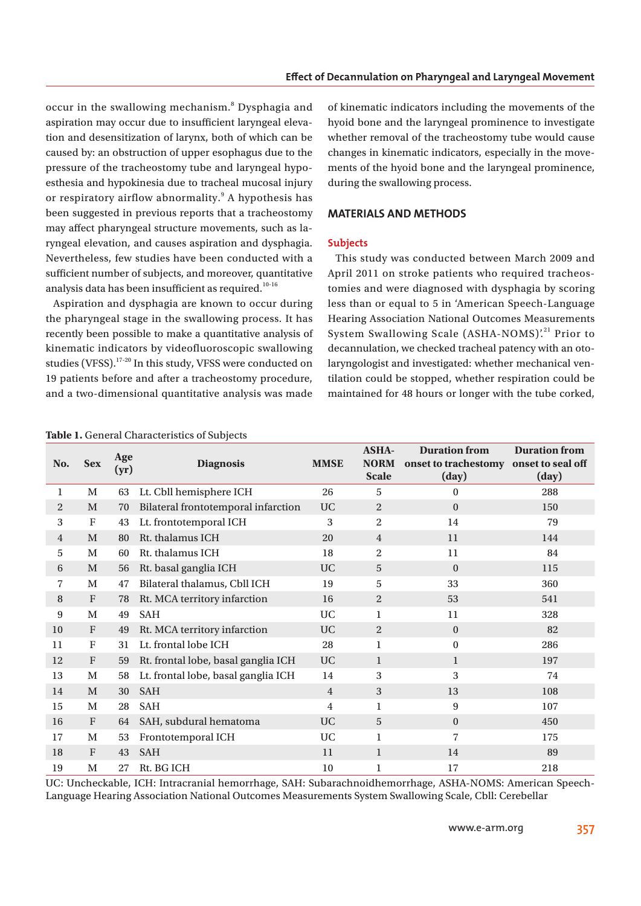occur in the swallowing mechanism.<sup>8</sup> Dysphagia and aspiration may occur due to insufficient laryngeal elevation and desensitization of larynx, both of which can be caused by: an obstruction of upper esophagus due to the pressure of the tracheostomy tube and laryngeal hypoesthesia and hypokinesia due to tracheal mucosal injury or respiratory airflow abnormality.<sup>9</sup> A hypothesis has been suggested in previous reports that a tracheostomy may affect pharyngeal structure movements, such as laryngeal elevation, and causes aspiration and dysphagia. Nevertheless, few studies have been conducted with a sufficient number of subjects, and moreover, quantitative analysis data has been insufficient as required.<sup>10-16</sup>

Aspiration and dysphagia are known to occur during the pharyngeal stage in the swallowing process. It has recently been possible to make a quantitative analysis of kinematic indicators by videofluoroscopic swallowing studies (VFSS).<sup>17-20</sup> In this study, VFSS were conducted on 19 patients before and after a tracheostomy procedure, and a two-dimensional quantitative analysis was made

of kinematic indicators including the movements of the hyoid bone and the laryngeal prominence to investigate whether removal of the tracheostomy tube would cause changes in kinematic indicators, especially in the movements of the hyoid bone and the laryngeal prominence, during the swallowing process.

# **MATERIALS AND METHODS**

#### **Subjects**

This study was conducted between March 2009 and April 2011 on stroke patients who required tracheostomies and were diagnosed with dysphagia by scoring less than or equal to 5 in 'American Speech-Language Hearing Association National Outcomes Measurements System Swallowing Scale (ASHA-NOMS)'.<sup>21</sup> Prior to decannulation, we checked tracheal patency with an otolaryngologist and investigated: whether mechanical ventilation could be stopped, whether respiration could be maintained for 48 hours or longer with the tube corked,

| No.            | <b>Sex</b>                | Age<br>(yr) | <b>Diagnosis</b>                    | <b>MMSE</b>    | <b>ASHA-</b><br><b>NORM</b><br><b>Scale</b> | <b>Duration from</b><br>onset to trachestomy onset to seal off<br>(day) | <b>Duration from</b><br>(day) |
|----------------|---------------------------|-------------|-------------------------------------|----------------|---------------------------------------------|-------------------------------------------------------------------------|-------------------------------|
| 1              | M                         | 63          | Lt. Cbll hemisphere ICH             | 26             | 5                                           | $\theta$                                                                | 288                           |
| 2              | M                         | 70          | Bilateral frontotemporal infarction | <b>UC</b>      | 2                                           | $\Omega$                                                                | 150                           |
| 3              | $\boldsymbol{\mathrm{F}}$ | 43          | Lt. frontotemporal ICH              | 3              | $\overline{2}$                              | 14                                                                      | 79                            |
| $\overline{4}$ | M                         | 80          | Rt. thalamus ICH                    | 20             | $\overline{4}$                              | 11                                                                      | 144                           |
| 5              | M                         | 60          | Rt. thalamus ICH                    | 18             | 2                                           | 11                                                                      | 84                            |
| 6              | M                         | 56          | Rt. basal ganglia ICH               | <b>UC</b>      | 5                                           | $\Omega$                                                                | 115                           |
| 7              | M                         | 47          | Bilateral thalamus, Cbll ICH        | 19             | 5                                           | 33                                                                      | 360                           |
| 8              | $\boldsymbol{\mathrm{F}}$ | 78          | Rt. MCA territory infarction        | 16             | $\overline{2}$                              | 53                                                                      | 541                           |
| 9              | M                         | 49          | <b>SAH</b>                          | <b>UC</b>      | 1                                           | 11                                                                      | 328                           |
| 10             | $\boldsymbol{\mathrm{F}}$ | 49          | Rt. MCA territory infarction        | <b>UC</b>      | 2                                           | $\Omega$                                                                | 82                            |
| 11             | F                         | 31          | Lt. frontal lobe ICH                | 28             | 1                                           | $\boldsymbol{0}$                                                        | 286                           |
| 12             | $\mathbf{F}$              | 59          | Rt. frontal lobe, basal ganglia ICH | <b>UC</b>      | $\mathbf{1}$                                | 1                                                                       | 197                           |
| 13             | M                         | 58          | Lt. frontal lobe, basal ganglia ICH | 14             | 3                                           | 3                                                                       | 74                            |
| 14             | M                         | 30          | <b>SAH</b>                          | $\overline{4}$ | 3                                           | 13                                                                      | 108                           |
| 15             | M                         | 28          | <b>SAH</b>                          | 4              | 1                                           | 9                                                                       | 107                           |
| 16             | $\mathbf{F}$              | 64          | SAH, subdural hematoma              | <b>UC</b>      | 5                                           | $\Omega$                                                                | 450                           |
| 17             | M                         | 53          | Frontotemporal ICH                  | <b>UC</b>      | 1                                           | 7                                                                       | 175                           |
| 18             | $\mathbf{F}$              | 43          | <b>SAH</b>                          | 11             | 1                                           | 14                                                                      | 89                            |
| 19             | M                         | 27          | Rt. BG ICH                          | 10             | 1                                           | 17                                                                      | 218                           |

**Table 1.** General Characteristics of Subjects

UC: Uncheckable, ICH: Intracranial hemorrhage, SAH: Subarachnoidhemorrhage, ASHA-NOMS: American Speech-Language Hearing Association National Outcomes Measurements System Swallowing Scale, Cbll: Cerebellar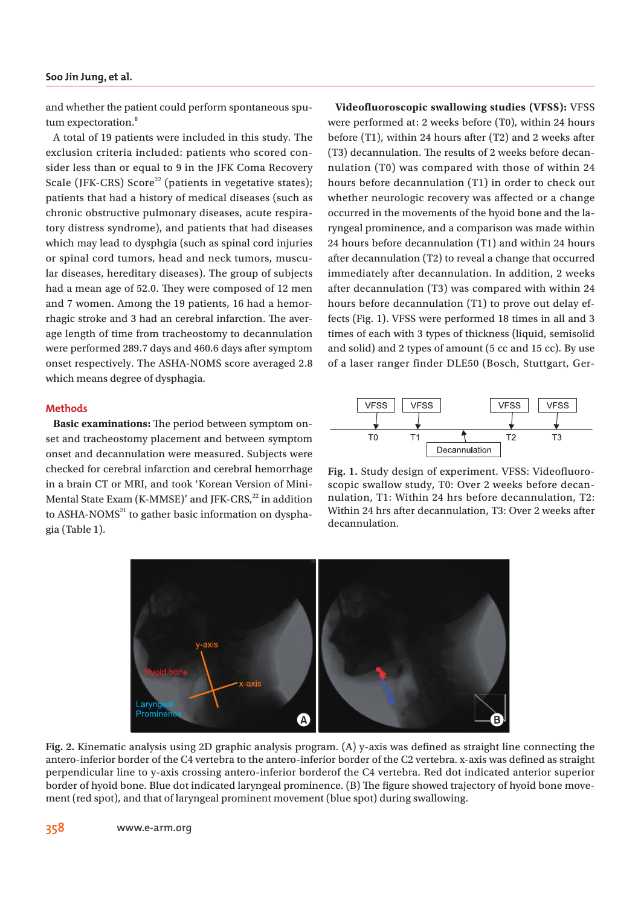#### **Soo Jin Jung, et al.**

and whether the patient could perform spontaneous sputum expectoration.<sup>8</sup>

A total of 19 patients were included in this study. The exclusion criteria included: patients who scored consider less than or equal to 9 in the JFK Coma Recovery Scale (JFK-CRS) Score<sup>22</sup> (patients in vegetative states); patients that had a history of medical diseases (such as chronic obstructive pulmonary diseases, acute respiratory distress syndrome), and patients that had diseases which may lead to dysphgia (such as spinal cord injuries or spinal cord tumors, head and neck tumors, muscular diseases, hereditary diseases). The group of subjects had a mean age of 52.0. They were composed of 12 men and 7 women. Among the 19 patients, 16 had a hemorrhagic stroke and 3 had an cerebral infarction. The average length of time from tracheostomy to decannulation were performed 289.7 days and 460.6 days after symptom onset respectively. The ASHA-NOMS score averaged 2.8 which means degree of dysphagia.

#### **Methods**

**Basic examinations:** The period between symptom onset and tracheostomy placement and between symptom onset and decannulation were measured. Subjects were checked for cerebral infarction and cerebral hemorrhage in a brain CT or MRI, and took 'Korean Version of Mini-Mental State Exam (K-MMSE)' and JFK-CRS,<sup>22</sup> in addition to  $ASHA-NOMS<sup>21</sup>$  to gather basic information on dysphagia (Table 1).

**Videofluoroscopic swallowing studies (VFSS):** VFSS were performed at: 2 weeks before (T0), within 24 hours before (T1), within 24 hours after (T2) and 2 weeks after (T3) decannulation. The results of 2 weeks before decannulation (T0) was compared with those of within 24 hours before decannulation (T1) in order to check out whether neurologic recovery was affected or a change occurred in the movements of the hyoid bone and the laryngeal prominence, and a comparison was made within 24 hours before decannulation (T1) and within 24 hours after decannulation (T2) to reveal a change that occurred immediately after decannulation. In addition, 2 weeks after decannulation (T3) was compared with within 24 hours before decannulation (T1) to prove out delay effects (Fig. 1). VFSS were performed 18 times in all and 3 times of each with 3 types of thickness (liquid, semisolid and solid) and 2 types of amount (5 cc and 15 cc). By use of a laser ranger finder DLE50 (Bosch, Stuttgart, Ger-



**Fig. 1.** Study design of experiment. VFSS: Videofluoroscopic swallow study, T0: Over 2 weeks before decannulation, T1: Within 24 hrs before decannulation, T2: Within 24 hrs after decannulation, T3: Over 2 weeks after decannulation.



Fig. 2. Kinematic analysis using 2D graphic analysis program. (A) y-axis was defined as straight line connecting the antero-inferior border of the C4 vertebra to the antero-inferior border of the C2 vertebra. x-axis was defined as straight perpendicular line to y-axis crossing antero-inferior borderof the C4 vertebra. Red dot indicated anterior superior border of hyoid bone. Blue dot indicated laryngeal prominence. (B) The figure showed trajectory of hyoid bone movement (red spot), and that of laryngeal prominent movement (blue spot) during swallowing.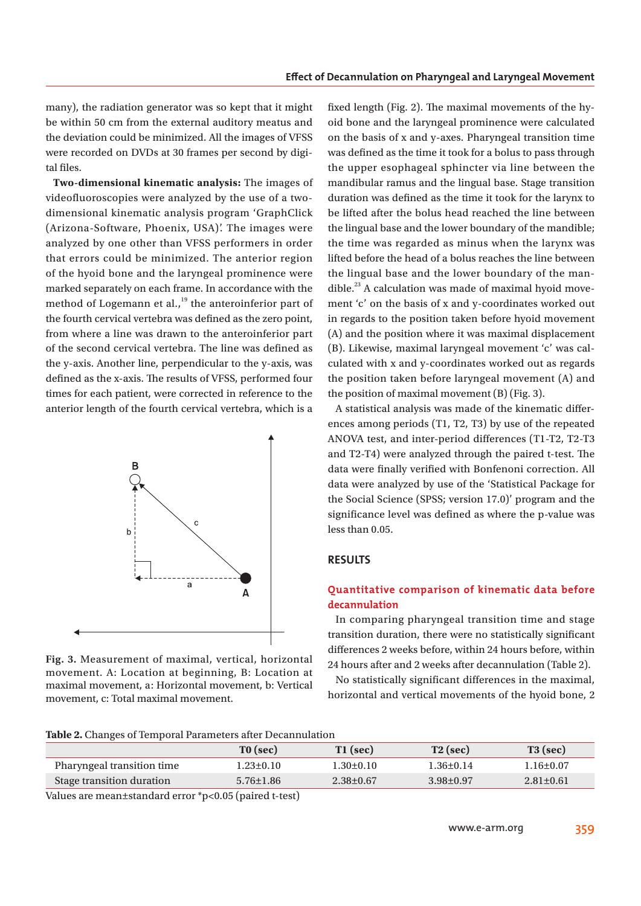many), the radiation generator was so kept that it might be within 50 cm from the external auditory meatus and the deviation could be minimized. All the images of VFSS were recorded on DVDs at 30 frames per second by digital files.

**Two-dimensional kinematic analysis:** The images of videofluoroscopies were analyzed by the use of a twodimensional kinematic analysis program 'GraphClick (Arizona-Software, Phoenix, USA)'. The images were analyzed by one other than VFSS performers in order that errors could be minimized. The anterior region of the hyoid bone and the laryngeal prominence were marked separately on each frame. In accordance with the method of Logemann et al., $19$ <sup>19</sup> the anteroinferior part of the fourth cervical vertebra was defined as the zero point, from where a line was drawn to the anteroinferior part of the second cervical vertebra. The line was defined as the y-axis. Another line, perpendicular to the y-axis, was defined as the x-axis. The results of VFSS, performed four times for each patient, were corrected in reference to the anterior length of the fourth cervical vertebra, which is a



**Fig. 3.** Measurement of maximal, vertical, horizontal movement. A: Location at beginning, B: Location at maximal movement, a: Horizontal movement, b: Vertical movement, c: Total maximal movement.

fixed length (Fig. 2). The maximal movements of the hyoid bone and the laryngeal prominence were calculated on the basis of x and y-axes. Pharyngeal transition time was defined as the time it took for a bolus to pass through the upper esophageal sphincter via line between the mandibular ramus and the lingual base. Stage transition duration was defined as the time it took for the larynx to be lifted after the bolus head reached the line between the lingual base and the lower boundary of the mandible; the time was regarded as minus when the larynx was lifted before the head of a bolus reaches the line between the lingual base and the lower boundary of the mandible.<sup>23</sup> A calculation was made of maximal hyoid movement 'c' on the basis of x and y-coordinates worked out in regards to the position taken before hyoid movement (A) and the position where it was maximal displacement (B). Likewise, maximal laryngeal movement 'c' was calculated with x and y-coordinates worked out as regards the position taken before laryngeal movement (A) and the position of maximal movement (B) (Fig. 3).

A statistical analysis was made of the kinematic differences among periods (T1, T2, T3) by use of the repeated ANOVA test, and inter-period differences (T1-T2, T2-T3 and T2-T4) were analyzed through the paired t-test. The data were finally verified with Bonfenoni correction. All data were analyzed by use of the 'Statistical Package for the Social Science (SPSS; version 17.0)' program and the significance level was defined as where the p-value was less than 0.05.

# **RESULTS**

# **Quantitative comparison of kinematic data before decannulation**

In comparing pharyngeal transition time and stage transition duration, there were no statistically significant differences 2 weeks before, within 24 hours before, within 24 hours after and 2 weeks after decannulation (Table 2).

No statistically significant differences in the maximal, horizontal and vertical movements of the hyoid bone, 2

|                            | TO (sec)        | $T1$ (sec)      | $T2$ (sec)      | $T3$ (sec)      |
|----------------------------|-----------------|-----------------|-----------------|-----------------|
| Pharyngeal transition time | $1.23 \pm 0.10$ | $1.30 \pm 0.10$ | $1.36 + 0.14$   | $1.16 \pm 0.07$ |
| Stage transition duration  | $5.76 \pm 1.86$ | $2.38 \pm 0.67$ | $3.98 \pm 0.97$ | $2.81 \pm 0.61$ |
|                            |                 |                 |                 |                 |

Values are mean±standard error \*p<0.05 (paired t-test)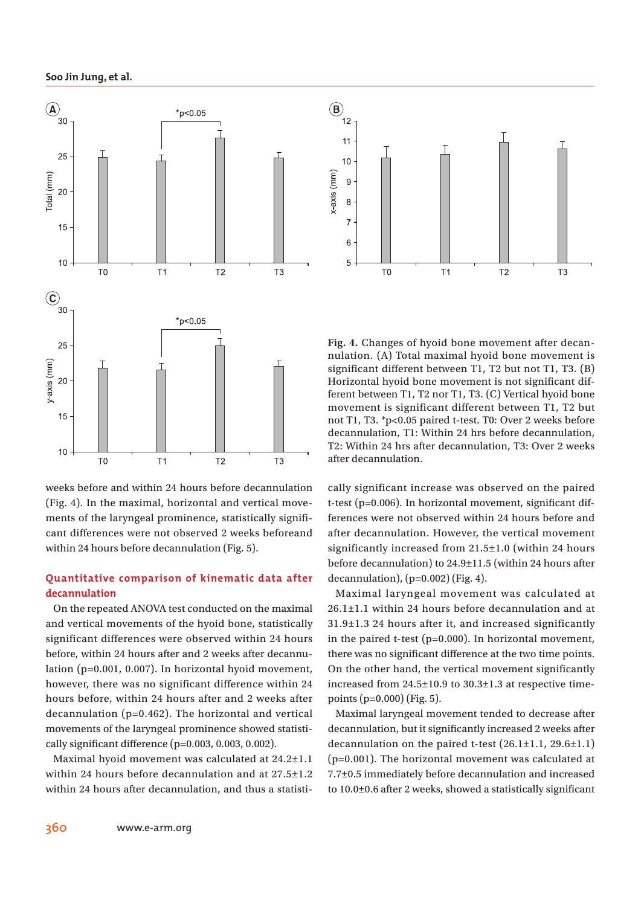#### **Soo Jin Jung, et al.**



weeks before and within 24 hours before decannulation (Fig. 4). In the maximal, horizontal and vertical movements of the laryngeal prominence, statistically significant differences were not observed 2 weeks beforeand within 24 hours before decannulation (Fig. 5).

# **Quantitative comparison of kinematic data after decannulation**

On the repeated ANOVA test conducted on the maximal and vertical movements of the hyoid bone, statistically significant differences were observed within 24 hours before, within 24 hours after and 2 weeks after decannulation (p=0.001, 0.007). In horizontal hyoid movement, however, there was no significant difference within 24 hours before, within 24 hours after and 2 weeks after decannulation (p=0.462). The horizontal and vertical movements of the laryngeal prominence showed statistically significant difference ( $p=0.003$ ,  $0.003$ ,  $0.002$ ).

Maximal hyoid movement was calculated at 24.2±1.1 within 24 hours before decannulation and at 27.5±1.2 within 24 hours after decannulation, and thus a statisti-



**Fig. 4.** Changes of hyoid bone movement after decannulation. (A) Total maximal hyoid bone movement is significant different between T1, T2 but not T1, T3. (B) Horizontal hyoid bone movement is not significant different between T1, T2 nor T1, T3. (C) Vertical hyoid bone movement is significant different between T1, T2 but not T1, T3. \*p<0.05 paired t-test. T0: Over 2 weeks before decannulation, T1: Within 24 hrs before decannulation, T2: Within 24 hrs after decannulation, T3: Over 2 weeks after decannulation.

cally significant increase was observed on the paired t-test ( $p=0.006$ ). In horizontal movement, significant differences were not observed within 24 hours before and after decannulation. However, the vertical movement significantly increased from 21.5±1.0 (within 24 hours before decannulation) to 24.9±11.5 (within 24 hours after decannulation),  $(p=0.002)$  (Fig. 4).

Maximal laryngeal movement was calculated at 26.1±1.1 within 24 hours before decannulation and at 31.9±1.3 24 hours after it, and increased significantly in the paired t-test (p=0.000). In horizontal movement, there was no significant difference at the two time points. On the other hand, the vertical movement significantly increased from 24.5±10.9 to 30.3±1.3 at respective timepoints (p=0.000) (Fig. 5).

Maximal laryngeal movement tended to decrease after decannulation, but it significantly increased 2 weeks after decannulation on the paired t-test (26.1±1.1, 29.6±1.1) (p=0.001). The horizontal movement was calculated at 7.7±0.5 immediately before decannulation and increased to  $10.0\pm0.6$  after 2 weeks, showed a statistically significant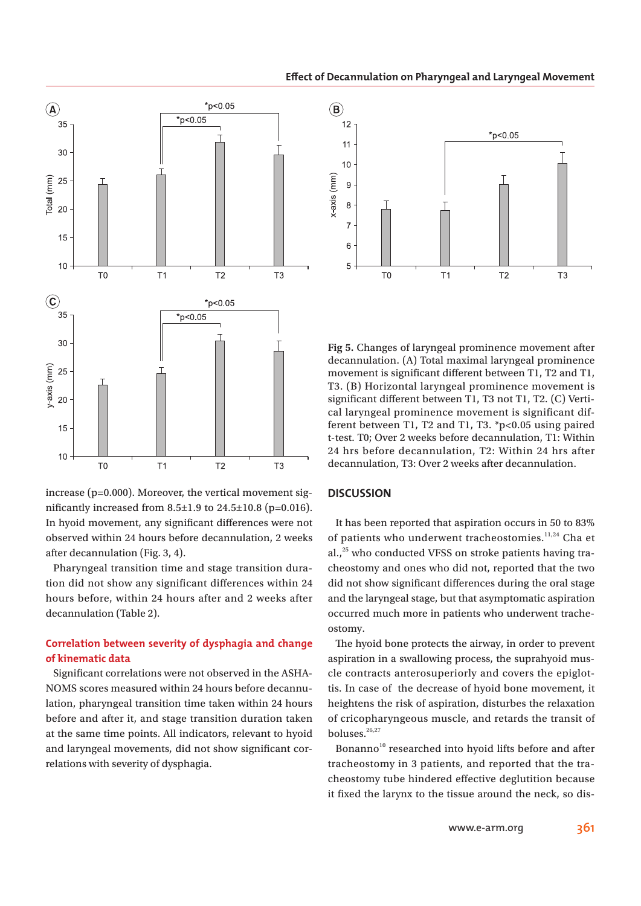**Effect of Decannulation on Pharyngeal and Laryngeal Movement** 



increase (p=0.000). Moreover, the vertical movement significantly increased from  $8.5 \pm 1.9$  to  $24.5 \pm 10.8$  (p=0.016). In hyoid movement, any significant differences were not observed within 24 hours before decannulation, 2 weeks after decannulation (Fig. 3, 4).

Pharyngeal transition time and stage transition duration did not show any significant differences within 24 hours before, within 24 hours after and 2 weeks after decannulation (Table 2).

# **Correlation between severity of dysphagia and change of kinematic data**

Significant correlations were not observed in the ASHA-NOMS scores measured within 24 hours before decannulation, pharyngeal transition time taken within 24 hours before and after it, and stage transition duration taken at the same time points. All indicators, relevant to hyoid and laryngeal movements, did not show significant correlations with severity of dysphagia.



**Fig 5.** Changes of laryngeal prominence movement after decannulation. (A) Total maximal laryngeal prominence movement is significant different between T1, T2 and T1, T3. (B) Horizontal laryngeal prominence movement is significant different between T1, T3 not T1, T2. (C) Vertical laryngeal prominence movement is significant different between T1, T2 and T1, T3. \*p<0.05 using paired t-test. T0; Over 2 weeks before decannulation, T1: Within 24 hrs before decannulation, T2: Within 24 hrs after decannulation, T3: Over 2 weeks after decannulation.

#### **DISCUSSION**

It has been reported that aspiration occurs in 50 to 83% of patients who underwent tracheostomies.<sup>11,24</sup> Cha et al., $^{25}$  who conducted VFSS on stroke patients having tracheostomy and ones who did not, reported that the two did not show significant differences during the oral stage and the laryngeal stage, but that asymptomatic aspiration occurred much more in patients who underwent tracheostomy.

The hyoid bone protects the airway, in order to prevent aspiration in a swallowing process, the suprahyoid muscle contracts anterosuperiorly and covers the epiglottis. In case of the decrease of hyoid bone movement, it heightens the risk of aspiration, disturbes the relaxation of cricopharyngeous muscle, and retards the transit of boluses.<sup>26,27</sup>

Bonanno<sup>10</sup> researched into hyoid lifts before and after tracheostomy in 3 patients, and reported that the tracheostomy tube hindered effective deglutition because it fixed the larynx to the tissue around the neck, so dis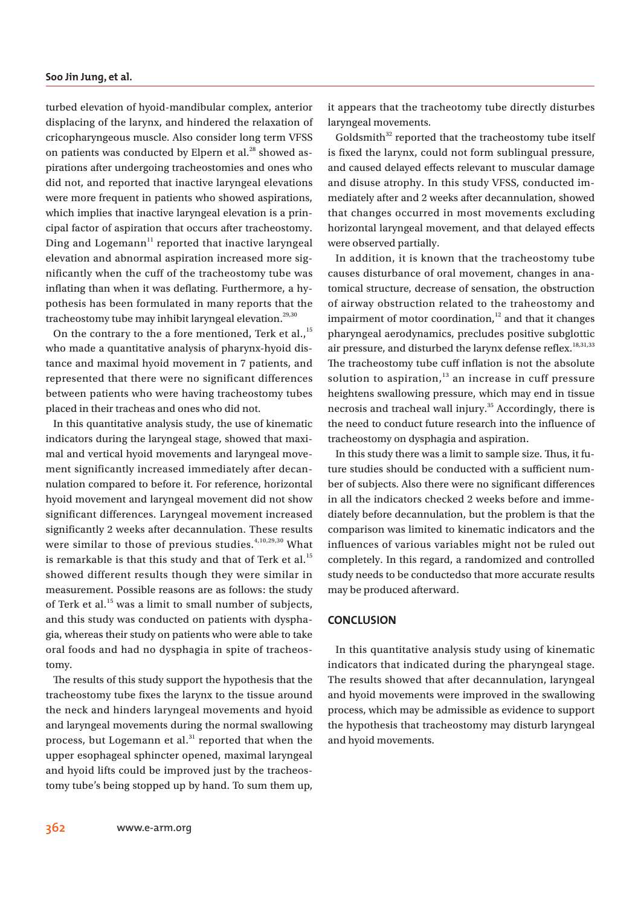turbed elevation of hyoid-mandibular complex, anterior displacing of the larynx, and hindered the relaxation of cricopharyngeous muscle. Also consider long term VFSS on patients was conducted by Elpern et al. $^{28}$  showed aspirations after undergoing tracheostomies and ones who did not, and reported that inactive laryngeal elevations were more frequent in patients who showed aspirations, which implies that inactive laryngeal elevation is a principal factor of aspiration that occurs after tracheostomy. Ding and Logemann<sup>11</sup> reported that inactive laryngeal elevation and abnormal aspiration increased more significantly when the cuff of the tracheostomy tube was inflating than when it was deflating. Furthermore, a hypothesis has been formulated in many reports that the tracheostomy tube may inhibit laryngeal elevation.<sup>29,30</sup>

On the contrary to the a fore mentioned, Terk et al., $^{15}$ who made a quantitative analysis of pharynx-hyoid distance and maximal hyoid movement in 7 patients, and represented that there were no significant differences between patients who were having tracheostomy tubes placed in their tracheas and ones who did not.

In this quantitative analysis study, the use of kinematic indicators during the laryngeal stage, showed that maximal and vertical hyoid movements and laryngeal movement significantly increased immediately after decannulation compared to before it. For reference, horizontal hyoid movement and laryngeal movement did not show significant differences. Laryngeal movement increased significantly 2 weeks after decannulation. These results were similar to those of previous studies.<sup>4,10,29,30</sup> What is remarkable is that this study and that of Terk et al.<sup>15</sup> showed different results though they were similar in measurement. Possible reasons are as follows: the study of Terk et al.<sup>15</sup> was a limit to small number of subjects, and this study was conducted on patients with dysphagia, whereas their study on patients who were able to take oral foods and had no dysphagia in spite of tracheostomy.

The results of this study support the hypothesis that the tracheostomy tube fixes the larynx to the tissue around the neck and hinders laryngeal movements and hyoid and laryngeal movements during the normal swallowing process, but Logemann et al. $31$  reported that when the upper esophageal sphincter opened, maximal laryngeal and hyoid lifts could be improved just by the tracheostomy tube's being stopped up by hand. To sum them up, it appears that the tracheotomy tube directly disturbes laryngeal movements.

Goldsmith $32$  reported that the tracheostomy tube itself is fixed the larynx, could not form sublingual pressure, and caused delayed effects relevant to muscular damage and disuse atrophy. In this study VFSS, conducted immediately after and 2 weeks after decannulation, showed that changes occurred in most movements excluding horizontal laryngeal movement, and that delayed effects were observed partially.

In addition, it is known that the tracheostomy tube causes disturbance of oral movement, changes in anatomical structure, decrease of sensation, the obstruction of airway obstruction related to the traheostomy and impairment of motor coordination, $12$  and that it changes pharyngeal aerodynamics, precludes positive subglottic air pressure, and disturbed the larynx defense reflex. $18,31,33$ The tracheostomy tube cuff inflation is not the absolute solution to aspiration, $13$  an increase in cuff pressure heightens swallowing pressure, which may end in tissue necrosis and tracheal wall injury.<sup>35</sup> Accordingly, there is the need to conduct future research into the influence of tracheostomy on dysphagia and aspiration.

In this study there was a limit to sample size. Thus, it future studies should be conducted with a sufficient number of subjects. Also there were no significant differences in all the indicators checked 2 weeks before and immediately before decannulation, but the problem is that the comparison was limited to kinematic indicators and the influences of various variables might not be ruled out completely. In this regard, a randomized and controlled study needs to be conductedso that more accurate results may be produced afterward.

#### **CONCLUSION**

In this quantitative analysis study using of kinematic indicators that indicated during the pharyngeal stage. The results showed that after decannulation, laryngeal and hyoid movements were improved in the swallowing process, which may be admissible as evidence to support the hypothesis that tracheostomy may disturb laryngeal and hyoid movements.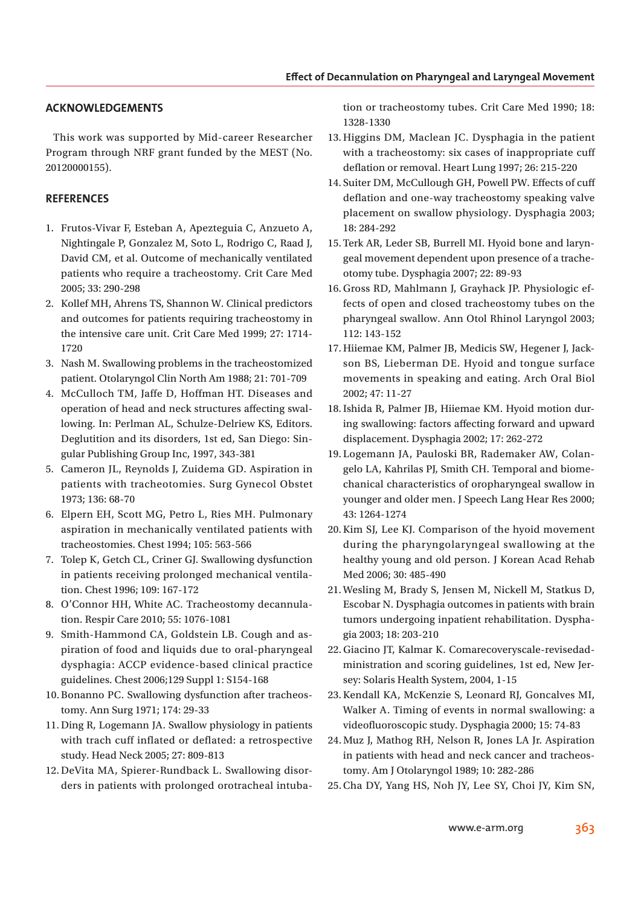# **ACKNOWLEDGEMENTS**

This work was supported by Mid-career Researcher Program through NRF grant funded by the MEST (No. 20120000155).

# **REFERENCES**

- 1. Frutos-Vivar F, Esteban A, Apezteguia C, Anzueto A, Nightingale P, Gonzalez M, Soto L, Rodrigo C, Raad J, David CM, et al. Outcome of mechanically ventilated patients who require a tracheostomy. Crit Care Med 2005; 33: 290-298
- 2. Kollef MH, Ahrens TS, Shannon W. Clinical predictors and outcomes for patients requiring tracheostomy in the intensive care unit. Crit Care Med 1999; 27: 1714- 1720
- 3. Nash M. Swallowing problems in the tracheostomized patient. Otolaryngol Clin North Am 1988; 21: 701-709
- 4. McCulloch TM, Jaffe D, Hoffman HT. Diseases and operation of head and neck structures affecting swallowing. In: Perlman AL, Schulze-Delriew KS, Editors. Deglutition and its disorders, 1st ed, San Diego: Singular Publishing Group Inc, 1997, 343-381
- 5. Cameron JL, Reynolds J, Zuidema GD. Aspiration in patients with tracheotomies. Surg Gynecol Obstet 1973; 136: 68-70
- 6. Elpern EH, Scott MG, Petro L, Ries MH. Pulmonary aspiration in mechanically ventilated patients with tracheostomies. Chest 1994; 105: 563-566
- 7. Tolep K, Getch CL, Criner GJ. Swallowing dysfunction in patients receiving prolonged mechanical ventilation. Chest 1996; 109: 167-172
- 8. O'Connor HH, White AC. Tracheostomy decannulation. Respir Care 2010; 55: 1076-1081
- 9. Smith-Hammond CA, Goldstein LB. Cough and aspiration of food and liquids due to oral-pharyngeal dysphagia: ACCP evidence-based clinical practice guidelines. Chest 2006;129 Suppl 1: S154-168
- 10. Bonanno PC. Swallowing dysfunction after tracheostomy. Ann Surg 1971; 174: 29-33
- 11. Ding R, Logemann JA. Swallow physiology in patients with trach cuff inflated or deflated: a retrospective study. Head Neck 2005; 27: 809-813
- 12. DeVita MA, Spierer-Rundback L. Swallowing disorders in patients with prolonged orotracheal intuba-

tion or tracheostomy tubes. Crit Care Med 1990; 18: 1328-1330

- 13. Higgins DM, Maclean JC. Dysphagia in the patient with a tracheostomy: six cases of inappropriate cuff deflation or removal. Heart Lung 1997; 26: 215-220
- 14. Suiter DM, McCullough GH, Powell PW. Effects of cuff deflation and one-way tracheostomy speaking valve placement on swallow physiology. Dysphagia 2003; 18: 284-292
- 15. Terk AR, Leder SB, Burrell MI. Hyoid bone and laryngeal movement dependent upon presence of a tracheotomy tube. Dysphagia 2007; 22: 89-93
- 16. Gross RD, Mahlmann J, Grayhack JP. Physiologic effects of open and closed tracheostomy tubes on the pharyngeal swallow. Ann Otol Rhinol Laryngol 2003; 112: 143-152
- 17. Hiiemae KM, Palmer JB, Medicis SW, Hegener J, Jackson BS, Lieberman DE. Hyoid and tongue surface movements in speaking and eating. Arch Oral Biol 2002; 47: 11-27
- 18. Ishida R, Palmer JB, Hiiemae KM. Hyoid motion during swallowing: factors affecting forward and upward displacement. Dysphagia 2002; 17: 262-272
- 19. Logemann JA, Pauloski BR, Rademaker AW, Colangelo LA, Kahrilas PJ, Smith CH. Temporal and biomechanical characteristics of oropharyngeal swallow in younger and older men. J Speech Lang Hear Res 2000; 43: 1264-1274
- 20. Kim SJ, Lee KJ. Comparison of the hyoid movement during the pharyngolaryngeal swallowing at the healthy young and old person. J Korean Acad Rehab Med 2006; 30: 485-490
- 21. Wesling M, Brady S, Jensen M, Nickell M, Statkus D, Escobar N. Dysphagia outcomes in patients with brain tumors undergoing inpatient rehabilitation. Dysphagia 2003; 18: 203-210
- 22. Giacino JT, Kalmar K. Comarecoveryscale-revisedadministration and scoring guidelines, 1st ed, New Jersey: Solaris Health System, 2004, 1-15
- 23. Kendall KA, McKenzie S, Leonard RJ, Goncalves MI, Walker A. Timing of events in normal swallowing: a videofluoroscopic study. Dysphagia 2000; 15: 74-83
- 24. Muz J, Mathog RH, Nelson R, Jones LA Jr. Aspiration in patients with head and neck cancer and tracheostomy. Am J Otolaryngol 1989; 10: 282-286
- 25. Cha DY, Yang HS, Noh JY, Lee SY, Choi JY, Kim SN,